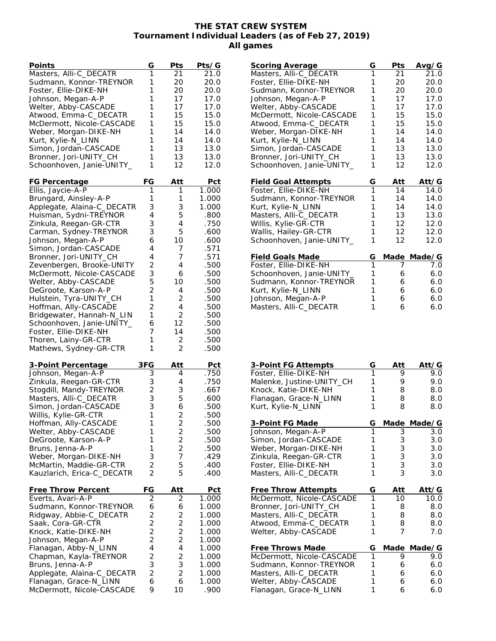## **THE STAT CREW SYSTEM Tournament Individual Leaders (as of Feb 27, 2019) All games**

| Points                     | G                       | <u>Pts</u>              | Pts/G |
|----------------------------|-------------------------|-------------------------|-------|
| Masters, Alli-C_DECATR     | 1                       | 21                      | 21.0  |
| Sudmann, Konnor-TREYNOR    | 1                       | 20                      | 20.0  |
| Foster, Ellie-DIKE-NH      | 1                       | 20                      | 20.0  |
| Johnson, Megan-A-P         | 1                       | 17                      | 17.0  |
| Welter, Abby-CASCADE       | 1                       | 17                      | 17.0  |
| Atwood, Emma-C_DECATR      | 1                       | 15                      | 15.0  |
| McDermott, Nicole-CASCADE  | 1                       | 15                      | 15.0  |
| Weber, Morgan-DIKE-NH      | 1                       | 14                      | 14.0  |
| Kurt, Kylie-N_LINN         | 1                       | 14                      | 14.0  |
| Simon, Jordan-CASCADE      | 1                       | 13                      | 13.0  |
| Bronner, Jori-UNITY_CH     | 1                       | 13                      | 13.0  |
| Schoonhoven, Janie-UNITY_  | 1                       | 12                      | 12.0  |
| <u>FG Percentage</u>       | FG                      | Att                     | Pct   |
| Ellis, Jaycie-A-P          | 1                       | 1                       | 1.000 |
| Brungard, Ainsley-A-P      | 1                       | 1                       | 1.000 |
| Applegate, Alaina-C_DECATR | 3                       | 3                       | 1.000 |
| Huisman, Sydni-TREYNOR     | 4                       | 5                       | .800  |
| Zinkula, Reegan-GR-CTR     | 3                       | 4                       | .750  |
| Carman, Sydney-TREYNOR     | 3                       | 5                       | .600  |
| Johnson, Megan-A-P         | 6                       | 10                      | .600  |
| Simon, Jordan-CASCADE      | 4                       | 7                       | .571  |
| Bronner, Jori-UNITY_CH     | $\overline{4}$          | 7                       | .571  |
| Zevenbergen, Brooke-UNITY  | $\overline{c}$          | 4                       | .500  |
| McDermott, Nicole-CASCADE  | 3                       | 6                       | .500  |
| Welter, Abby-CASCADE       | 5                       | 10                      | .500  |
| DeGroote, Karson-A-P       | $\overline{c}$          | 4                       | .500  |
| Hulstein, Tyra-UNITY_CH    | 1                       | 2                       | .500  |
| Hoffman, Ally-CASCADE      | $\overline{c}$          | 4                       | .500  |
| Bridgewater, Hannah-N_LIN  | 1                       | $\overline{2}$          | .500  |
| Schoonhoven, Janie-UNITY_  | 6                       | 12                      | .500  |
| Foster, Ellie-DIKE-NH      | 7                       | 14                      | .500  |
| Thoren, Lainy-GR-CTR       | 1                       | 2                       | .500  |
| Mathews, Sydney-GR-CTR     | 1                       | $\overline{2}$          | .500  |
| 3-Point Percentage         | 3FG                     | Att                     | Pct   |
| Johnson, Megan-A-P         | $\overline{3}$          | 4                       | .750  |
| Zinkula, Reegan-GR-CTR     | 3                       | 4                       | .750  |
| Stogdill, Mandy-TREYNOR    | $\overline{c}$          | 3                       | .667  |
| Masters, Alli-C_DECATR     | 3                       | 5                       | .600  |
| Simon, Jordan-CASCADE      | 3                       | 6                       | .500  |
| Willis, Kylie-GR-CTR       | 1                       | 2                       | .500  |
| Hoffman, Ally-CASCADE      | 1                       | 2                       | .500  |
| Welter, Abby-CASCADE       | 1                       | $\overline{\mathbf{c}}$ | .500  |
| DeGroote, Karson-A-P       | 1                       | $\overline{2}$          | .500  |
| Bruns, Jenna-A-P           | 1                       | 2                       | .500  |
| Weber, Morgan-DIKE-NH      | 3                       | 7                       | .429  |
| McMartin, Maddie-GR-CTR    | $\overline{c}$          | 5                       | .400  |
| Kauzlarich, Erica-C_DECATR | $\overline{2}$          | 5                       | .400  |
| <b>Free Throw Percent</b>  | FG                      | Att                     | Pct   |
| Everts, Avari-A-P          | 2                       | 2                       | 1.000 |
| Sudmann, Konnor-TREYNOR    | 6                       | 6                       | 1.000 |
| Ridgway, Abbie-C_DECATR    | $\overline{\mathbf{c}}$ | 2                       | 1.000 |
| Saak, Cora-GR-CTR          | $\overline{c}$          | $\overline{c}$          | 1.000 |
| Knock, Katie-DIKE-NH       | $\frac{2}{2}$           | $\overline{c}$          | 1.000 |
| Johnson, Megan-A-P         |                         | $\overline{2}$          | 1.000 |
| Flanagan, Abby-N_LINN      | $\overline{4}$          | 4                       | 1.000 |
| Chapman, Kayla-TREYNOR     | $\overline{c}$          | $\overline{c}$          | 1.000 |
| Bruns, Jenna-A-P           | 3                       | 3                       | 1.000 |
| Applegate, Alaina-C_DECATR | $\overline{2}$          | 2                       | 1.000 |
| Flanagan, Grace-N_LINN     | 6                       | 6                       | 1.000 |
| McDermott, Nicole-CASCADE  | 9                       | 10                      | .900  |

| <b>Scoring Average</b>                                                                                                                                                         | G                               | Pts                                     | Avg/G                                                 |
|--------------------------------------------------------------------------------------------------------------------------------------------------------------------------------|---------------------------------|-----------------------------------------|-------------------------------------------------------|
| Masters, Alli-C_DECATR                                                                                                                                                         | 1                               | 21                                      | 21.0                                                  |
| Foster, Ellie-DIKE-NH                                                                                                                                                          | 1                               | 20                                      | 20.0                                                  |
| Sudmann, Konnor-TREYNOR                                                                                                                                                        | 1                               | 20                                      | 20.0                                                  |
| Johnson, Megan-A-P                                                                                                                                                             | 1                               | 17                                      | 17.0                                                  |
| Welter, Abby-CASCADE                                                                                                                                                           | 1                               | 17                                      | 17.0                                                  |
| McDermott, Nicole-CASCADE                                                                                                                                                      | 1                               | 15                                      | 15.0                                                  |
| Atwood, Emma-C_DECATR                                                                                                                                                          | 1                               | 15                                      | 15.0                                                  |
| Weber, Morgan-DIKE-NH                                                                                                                                                          | 1                               | 14                                      | 14.0                                                  |
| Kurt, Kylie-N_LINN                                                                                                                                                             | 1                               | 14                                      | 14.0                                                  |
| Simon, Jordan-CASCADE                                                                                                                                                          | 1                               | 13                                      | 13.0                                                  |
| Bronner, Jori-UNITY_CH                                                                                                                                                         | 1                               | 13                                      | 13.0                                                  |
| Schoonhoven, Janie-UNITY_                                                                                                                                                      | 1                               | 12                                      | 12.0                                                  |
| <b>Field Goal Attempts</b>                                                                                                                                                     | G                               | Att                                     | Att/G                                                 |
| Foster, Ellie-DIKE-NH                                                                                                                                                          | 1                               | 14                                      | 14.0                                                  |
| Sudmann, Konnor-TREYNOR                                                                                                                                                        | 1                               | 14                                      | 14.0                                                  |
| Kurt, Kylie-N_LINN                                                                                                                                                             | 1                               | 14                                      | 14.0                                                  |
| Masters, Alli-C_DECATR                                                                                                                                                         | 1                               | 13                                      | 13.0                                                  |
| Willis, Kylie-GR-CTR                                                                                                                                                           | 1                               | 12                                      | 12.0                                                  |
| Wallis, Hailey-GR-CTR                                                                                                                                                          | 1                               | 12                                      | 12.0                                                  |
| Schoonhoven, Janie-UNITY_                                                                                                                                                      | 1                               | 12                                      | 12.0                                                  |
| <b>Field Goals Made</b><br>Foster, Ellie-DIKE-NH<br>Schoonhoven, Janie-UNITY_<br>Sudmann, Konnor-TREYNOR<br>Kurt, Kylie-N_LINN<br>Johnson, Megan-A-P<br>Masters, Alli-C_DECATR | G<br>1<br>1<br>1<br>1<br>1<br>1 | 7<br>6<br>6<br>6<br>6<br>6              | Made Made/G<br>7.0<br>6.0<br>6.0<br>6.0<br>6.0<br>6.0 |
| 3-Point FG Attempts                                                                                                                                                            | G                               | Att                                     | Att⁄G                                                 |
| Foster, Ellie-DIKE-NH                                                                                                                                                          | 1                               | 9                                       | 9.0                                                   |
| Malenke, Justine-UNITY_CH                                                                                                                                                      | 1                               | 9                                       | 9.0                                                   |
| Knock, Katie-DIKE-NH                                                                                                                                                           | 1                               | 8                                       | 8.0                                                   |
| Flanagan, Grace-N_LINN                                                                                                                                                         | 1                               | 8                                       | 8.0                                                   |
| Kurt, Kylie-N_LINN                                                                                                                                                             | 1                               | 8                                       | 8.0                                                   |
| 3-Point FG Made<br>Johnson, Megan-A-P<br>Simon, Jordan-CASCADE<br>Weber, Morgan-DIKE-NH<br>Zinkula, Reegan-GR-CTR<br>Foster, Ellie-DIKE-NH<br>Masters, Alli-C_DECATR           | 1<br>1<br>1<br>1<br>1<br>1      | $\overline{3}$<br>3<br>3<br>3<br>3<br>3 | Made Made/G<br>3.0<br>3.0<br>3.0<br>3.0<br>3.0<br>3.0 |
| <b>Free Throw Attempts</b>                                                                                                                                                     | G                               | Att                                     | Att/G                                                 |
| McDermott, Nicole-CASCADE                                                                                                                                                      | 1                               | 10                                      | 10.0                                                  |
| Bronner, Jori-UNITY_CH                                                                                                                                                         | 1                               | 8                                       | 8.0                                                   |
| Masters, Alli-C_DECATR                                                                                                                                                         | 1                               | 8                                       | 8.0                                                   |
| Atwood, Emma-C_DECATR                                                                                                                                                          | 1                               | 8                                       | 8.0                                                   |
| Welter, Abby-CASCADE                                                                                                                                                           | 1                               | 7                                       | 7.0                                                   |
| <b>Free Throws Made</b><br>McDermott, Nicole-CASCADE<br>Sudmann, Konnor-TREYNOR                                                                                                | G<br>1<br>1                     | 9<br>6                                  | Made Made/G<br>9.0<br>6.0                             |

Masters, Alli-C\_DECATR 1 6 6.0 Welter, Abby-CASCADE 1 6 6.0 Flanagan, Grace-N\_LINN 1 6 6.0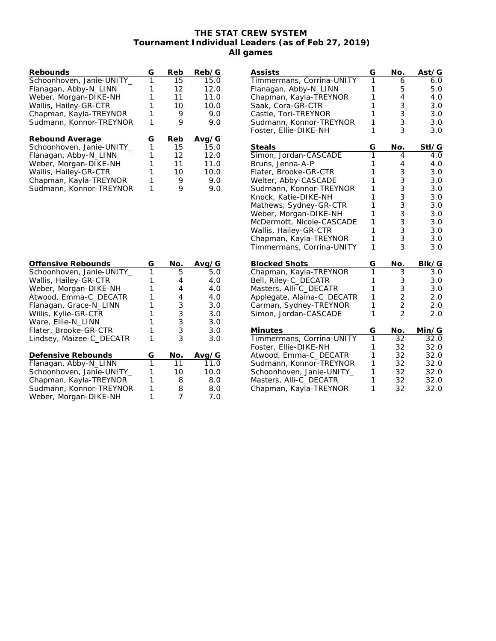## **THE STAT CREW SYSTEM Tournament Individual Leaders (as of Feb 27, 2019) All games**

| Rebounds                  | G | Reb | Reb/G |
|---------------------------|---|-----|-------|
| Schoonhoven, Janie-UNITY  | 1 | 15  | 15.0  |
| Flanagan, Abby-N_LINN     |   | 12  | 12.0  |
| Weber, Morgan-DIKE-NH     |   | 11  | 11.0  |
| Wallis, Hailey-GR-CTR     |   | 10  | 10.0  |
| Chapman, Kayla-TREYNOR    |   | 9   | 9.0   |
| Sudmann, Konnor-TREYNOR   |   | 9   | 9.0   |
|                           |   |     |       |
|                           |   |     |       |
| Rebound Average           | G | Reb | Avg/G |
| Schoonhoven, Janie-UNITY_ | 1 | 15  | 15.0  |
| Flanagan, Abby-N_LINN     |   | 12  | 12.0  |
| Weber, Morgan-DIKE-NH     |   | 11  | 11.0  |
| Wallis, Hailey-GR-CTR     |   | 10  | 10.0  |
| Chapman, Kayla-TREYNOR    |   | 9   | 9.0   |

| G<br>No.<br>Assists<br>Ast/G<br>1<br>Timmermans, Corrina-UNITY<br>6<br>6.0<br>5<br>1<br>5.0<br>Flanagan, Abby-N_LINN<br>1<br>4<br>Chapman, Kayla-TREYNOR<br>4.0<br>3<br>1<br>Saak, Cora-GR-CTR<br>3.0<br>3<br>Castle, Tori-TREYNOR<br>1<br>3.0<br>3<br>1<br>Sudmann, Konnor-TREYNOR<br>3.0<br>3<br>1<br>Foster, Ellie-DIKE-NH<br>3.0<br>Stl/G<br><b>Steals</b><br>G<br>No.<br>Simon, Jordan-CASCADE<br>$\overline{1}$<br>4<br>4.0<br>1<br>4<br>Bruns, Jenna-A-P<br>4.0<br>3<br>Flater, Brooke-GR-CTR<br>1<br>3.0<br>3<br>Welter, Abby-CASCADE<br>1<br>3.0<br>$\frac{3}{3}$<br>Sudmann, Konnor-TREYNOR<br>1<br>3.0<br>Knock, Katie-DIKE-NH<br>1<br>3.0<br>3<br>1<br>Mathews, Sydney-GR-CTR<br>3.0<br>3<br>Weber, Morgan-DIKE-NH<br>1<br>3.0<br>$\overline{3}$<br>1<br>McDermott, Nicole-CASCADE<br>3.0<br>3<br>1<br>3.0<br>Wallis, Hailey-GR-CTR<br>3<br>1<br>Chapman, Kayla-TREYNOR<br>3.0<br>3<br>1<br>Timmermans, Corrina-UNITY<br>3.0<br><b>Blocked Shots</b><br>No.<br>BIk/G<br>G<br>1<br>Chapman, Kayla-TREYNOR<br>3<br>3.0<br>$\begin{array}{c} 3 \\ 3 \\ 2 \end{array}$<br>Bell, Riley-C_DECATR<br>1<br>3.0<br>1<br>Masters, Alli-C_DECATR<br>3.0<br>1<br>Applegate, Alaina-C_DECATR<br>2.0<br>$\frac{2}{2}$<br>1<br>Carman, Sydney-TREYNOR<br>2.0<br>1<br>Simon, Jordan-CASCADE<br>2.0<br>No.<br>Min/G<br>Minutes<br>G<br>1<br>Timmermans, Corrina-UNITY<br>32<br>32.0<br>32<br>32.0<br>Foster, Ellie-DIKE-NH<br>1<br>1<br>32<br>Atwood, Emma-C_DECATR<br>32.0<br>1<br>32<br>Sudmann, Konnor-TREYNOR<br>32.0<br>1<br>32<br>32.0<br>Schoonhoven, Janie-UNITY_<br>Masters, Alli-C_DECATR<br>1<br>32<br>32.0<br>1 |                        |    |      |
|------------------------------------------------------------------------------------------------------------------------------------------------------------------------------------------------------------------------------------------------------------------------------------------------------------------------------------------------------------------------------------------------------------------------------------------------------------------------------------------------------------------------------------------------------------------------------------------------------------------------------------------------------------------------------------------------------------------------------------------------------------------------------------------------------------------------------------------------------------------------------------------------------------------------------------------------------------------------------------------------------------------------------------------------------------------------------------------------------------------------------------------------------------------------------------------------------------------------------------------------------------------------------------------------------------------------------------------------------------------------------------------------------------------------------------------------------------------------------------------------------------------------------------------------------------------------------------------------------------------------|------------------------|----|------|
|                                                                                                                                                                                                                                                                                                                                                                                                                                                                                                                                                                                                                                                                                                                                                                                                                                                                                                                                                                                                                                                                                                                                                                                                                                                                                                                                                                                                                                                                                                                                                                                                                        |                        |    |      |
|                                                                                                                                                                                                                                                                                                                                                                                                                                                                                                                                                                                                                                                                                                                                                                                                                                                                                                                                                                                                                                                                                                                                                                                                                                                                                                                                                                                                                                                                                                                                                                                                                        |                        |    |      |
|                                                                                                                                                                                                                                                                                                                                                                                                                                                                                                                                                                                                                                                                                                                                                                                                                                                                                                                                                                                                                                                                                                                                                                                                                                                                                                                                                                                                                                                                                                                                                                                                                        |                        |    |      |
|                                                                                                                                                                                                                                                                                                                                                                                                                                                                                                                                                                                                                                                                                                                                                                                                                                                                                                                                                                                                                                                                                                                                                                                                                                                                                                                                                                                                                                                                                                                                                                                                                        |                        |    |      |
|                                                                                                                                                                                                                                                                                                                                                                                                                                                                                                                                                                                                                                                                                                                                                                                                                                                                                                                                                                                                                                                                                                                                                                                                                                                                                                                                                                                                                                                                                                                                                                                                                        |                        |    |      |
|                                                                                                                                                                                                                                                                                                                                                                                                                                                                                                                                                                                                                                                                                                                                                                                                                                                                                                                                                                                                                                                                                                                                                                                                                                                                                                                                                                                                                                                                                                                                                                                                                        |                        |    |      |
|                                                                                                                                                                                                                                                                                                                                                                                                                                                                                                                                                                                                                                                                                                                                                                                                                                                                                                                                                                                                                                                                                                                                                                                                                                                                                                                                                                                                                                                                                                                                                                                                                        |                        |    |      |
|                                                                                                                                                                                                                                                                                                                                                                                                                                                                                                                                                                                                                                                                                                                                                                                                                                                                                                                                                                                                                                                                                                                                                                                                                                                                                                                                                                                                                                                                                                                                                                                                                        |                        |    |      |
|                                                                                                                                                                                                                                                                                                                                                                                                                                                                                                                                                                                                                                                                                                                                                                                                                                                                                                                                                                                                                                                                                                                                                                                                                                                                                                                                                                                                                                                                                                                                                                                                                        |                        |    |      |
|                                                                                                                                                                                                                                                                                                                                                                                                                                                                                                                                                                                                                                                                                                                                                                                                                                                                                                                                                                                                                                                                                                                                                                                                                                                                                                                                                                                                                                                                                                                                                                                                                        |                        |    |      |
|                                                                                                                                                                                                                                                                                                                                                                                                                                                                                                                                                                                                                                                                                                                                                                                                                                                                                                                                                                                                                                                                                                                                                                                                                                                                                                                                                                                                                                                                                                                                                                                                                        |                        |    |      |
|                                                                                                                                                                                                                                                                                                                                                                                                                                                                                                                                                                                                                                                                                                                                                                                                                                                                                                                                                                                                                                                                                                                                                                                                                                                                                                                                                                                                                                                                                                                                                                                                                        |                        |    |      |
|                                                                                                                                                                                                                                                                                                                                                                                                                                                                                                                                                                                                                                                                                                                                                                                                                                                                                                                                                                                                                                                                                                                                                                                                                                                                                                                                                                                                                                                                                                                                                                                                                        |                        |    |      |
|                                                                                                                                                                                                                                                                                                                                                                                                                                                                                                                                                                                                                                                                                                                                                                                                                                                                                                                                                                                                                                                                                                                                                                                                                                                                                                                                                                                                                                                                                                                                                                                                                        |                        |    |      |
|                                                                                                                                                                                                                                                                                                                                                                                                                                                                                                                                                                                                                                                                                                                                                                                                                                                                                                                                                                                                                                                                                                                                                                                                                                                                                                                                                                                                                                                                                                                                                                                                                        |                        |    |      |
|                                                                                                                                                                                                                                                                                                                                                                                                                                                                                                                                                                                                                                                                                                                                                                                                                                                                                                                                                                                                                                                                                                                                                                                                                                                                                                                                                                                                                                                                                                                                                                                                                        |                        |    |      |
|                                                                                                                                                                                                                                                                                                                                                                                                                                                                                                                                                                                                                                                                                                                                                                                                                                                                                                                                                                                                                                                                                                                                                                                                                                                                                                                                                                                                                                                                                                                                                                                                                        |                        |    |      |
|                                                                                                                                                                                                                                                                                                                                                                                                                                                                                                                                                                                                                                                                                                                                                                                                                                                                                                                                                                                                                                                                                                                                                                                                                                                                                                                                                                                                                                                                                                                                                                                                                        |                        |    |      |
|                                                                                                                                                                                                                                                                                                                                                                                                                                                                                                                                                                                                                                                                                                                                                                                                                                                                                                                                                                                                                                                                                                                                                                                                                                                                                                                                                                                                                                                                                                                                                                                                                        |                        |    |      |
|                                                                                                                                                                                                                                                                                                                                                                                                                                                                                                                                                                                                                                                                                                                                                                                                                                                                                                                                                                                                                                                                                                                                                                                                                                                                                                                                                                                                                                                                                                                                                                                                                        |                        |    |      |
|                                                                                                                                                                                                                                                                                                                                                                                                                                                                                                                                                                                                                                                                                                                                                                                                                                                                                                                                                                                                                                                                                                                                                                                                                                                                                                                                                                                                                                                                                                                                                                                                                        |                        |    |      |
|                                                                                                                                                                                                                                                                                                                                                                                                                                                                                                                                                                                                                                                                                                                                                                                                                                                                                                                                                                                                                                                                                                                                                                                                                                                                                                                                                                                                                                                                                                                                                                                                                        |                        |    |      |
|                                                                                                                                                                                                                                                                                                                                                                                                                                                                                                                                                                                                                                                                                                                                                                                                                                                                                                                                                                                                                                                                                                                                                                                                                                                                                                                                                                                                                                                                                                                                                                                                                        |                        |    |      |
|                                                                                                                                                                                                                                                                                                                                                                                                                                                                                                                                                                                                                                                                                                                                                                                                                                                                                                                                                                                                                                                                                                                                                                                                                                                                                                                                                                                                                                                                                                                                                                                                                        |                        |    |      |
|                                                                                                                                                                                                                                                                                                                                                                                                                                                                                                                                                                                                                                                                                                                                                                                                                                                                                                                                                                                                                                                                                                                                                                                                                                                                                                                                                                                                                                                                                                                                                                                                                        |                        |    |      |
|                                                                                                                                                                                                                                                                                                                                                                                                                                                                                                                                                                                                                                                                                                                                                                                                                                                                                                                                                                                                                                                                                                                                                                                                                                                                                                                                                                                                                                                                                                                                                                                                                        |                        |    |      |
|                                                                                                                                                                                                                                                                                                                                                                                                                                                                                                                                                                                                                                                                                                                                                                                                                                                                                                                                                                                                                                                                                                                                                                                                                                                                                                                                                                                                                                                                                                                                                                                                                        |                        |    |      |
|                                                                                                                                                                                                                                                                                                                                                                                                                                                                                                                                                                                                                                                                                                                                                                                                                                                                                                                                                                                                                                                                                                                                                                                                                                                                                                                                                                                                                                                                                                                                                                                                                        |                        |    |      |
|                                                                                                                                                                                                                                                                                                                                                                                                                                                                                                                                                                                                                                                                                                                                                                                                                                                                                                                                                                                                                                                                                                                                                                                                                                                                                                                                                                                                                                                                                                                                                                                                                        |                        |    |      |
|                                                                                                                                                                                                                                                                                                                                                                                                                                                                                                                                                                                                                                                                                                                                                                                                                                                                                                                                                                                                                                                                                                                                                                                                                                                                                                                                                                                                                                                                                                                                                                                                                        |                        |    |      |
|                                                                                                                                                                                                                                                                                                                                                                                                                                                                                                                                                                                                                                                                                                                                                                                                                                                                                                                                                                                                                                                                                                                                                                                                                                                                                                                                                                                                                                                                                                                                                                                                                        |                        |    |      |
|                                                                                                                                                                                                                                                                                                                                                                                                                                                                                                                                                                                                                                                                                                                                                                                                                                                                                                                                                                                                                                                                                                                                                                                                                                                                                                                                                                                                                                                                                                                                                                                                                        |                        |    |      |
|                                                                                                                                                                                                                                                                                                                                                                                                                                                                                                                                                                                                                                                                                                                                                                                                                                                                                                                                                                                                                                                                                                                                                                                                                                                                                                                                                                                                                                                                                                                                                                                                                        |                        |    |      |
|                                                                                                                                                                                                                                                                                                                                                                                                                                                                                                                                                                                                                                                                                                                                                                                                                                                                                                                                                                                                                                                                                                                                                                                                                                                                                                                                                                                                                                                                                                                                                                                                                        |                        |    |      |
|                                                                                                                                                                                                                                                                                                                                                                                                                                                                                                                                                                                                                                                                                                                                                                                                                                                                                                                                                                                                                                                                                                                                                                                                                                                                                                                                                                                                                                                                                                                                                                                                                        |                        |    |      |
|                                                                                                                                                                                                                                                                                                                                                                                                                                                                                                                                                                                                                                                                                                                                                                                                                                                                                                                                                                                                                                                                                                                                                                                                                                                                                                                                                                                                                                                                                                                                                                                                                        |                        |    |      |
|                                                                                                                                                                                                                                                                                                                                                                                                                                                                                                                                                                                                                                                                                                                                                                                                                                                                                                                                                                                                                                                                                                                                                                                                                                                                                                                                                                                                                                                                                                                                                                                                                        | Chapman, Kayla-TREYNOR | 32 | 32.0 |

| Offensive Rebounds        | G | No.     | Avg/  |
|---------------------------|---|---------|-------|
| Schoonhoven, Janie-UNITY_ |   | 5       | 5.0   |
| Wallis, Hailey-GR-CTR     |   | 4       | 4.0   |
| Weber, Morgan-DIKE-NH     |   | 4       | 4.0   |
| Atwood, Emma-C_DECATR     |   | 4       | 4.0   |
| Flanagan, Grace-N LINN    |   | 3       | 3.0   |
| Willis, Kylie-GR-CTR      |   | 3       | 3.0   |
| Ware, Ellie-N_LINN        |   | 3       | 3.0   |
| Flater, Brooke-GR-CTR     |   | 3       | 3.0   |
| Lindsey, Maizee-C_DECATR  |   | 3       | 3.0   |
| Defensive Rebounds        | G | No.     | Avg/G |
| Flanagan, Abby-N_LINN     | 1 | 11      | 11.0  |
| Schoonhoven, Janie-UNITY_ |   | $10-10$ | 10.0  |
| Chapman, Kayla-TREYNOR    |   | 8       | 8.0   |
| Sudmann, Konnor-TREYNOR   |   | 8       | 8.0   |
| Weber, Morgan-DIKE-NH     |   |         | 7.0   |